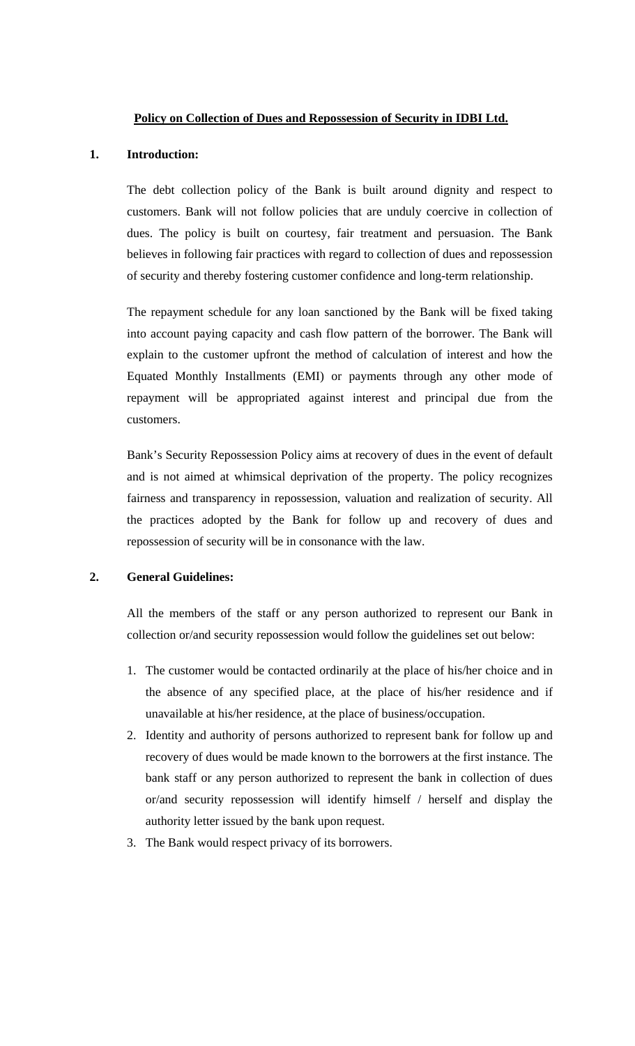### **Policy on Collection of Dues and Repossession of Security in IDBI Ltd.**

# **1. Introduction:**

The debt collection policy of the Bank is built around dignity and respect to customers. Bank will not follow policies that are unduly coercive in collection of dues. The policy is built on courtesy, fair treatment and persuasion. The Bank believes in following fair practices with regard to collection of dues and repossession of security and thereby fostering customer confidence and long-term relationship.

The repayment schedule for any loan sanctioned by the Bank will be fixed taking into account paying capacity and cash flow pattern of the borrower. The Bank will explain to the customer upfront the method of calculation of interest and how the Equated Monthly Installments (EMI) or payments through any other mode of repayment will be appropriated against interest and principal due from the customers.

Bank's Security Repossession Policy aims at recovery of dues in the event of default and is not aimed at whimsical deprivation of the property. The policy recognizes fairness and transparency in repossession, valuation and realization of security. All the practices adopted by the Bank for follow up and recovery of dues and repossession of security will be in consonance with the law.

# **2. General Guidelines:**

All the members of the staff or any person authorized to represent our Bank in collection or/and security repossession would follow the guidelines set out below:

- 1. The customer would be contacted ordinarily at the place of his/her choice and in the absence of any specified place, at the place of his/her residence and if unavailable at his/her residence, at the place of business/occupation.
- 2. Identity and authority of persons authorized to represent bank for follow up and recovery of dues would be made known to the borrowers at the first instance. The bank staff or any person authorized to represent the bank in collection of dues or/and security repossession will identify himself / herself and display the authority letter issued by the bank upon request.
- 3. The Bank would respect privacy of its borrowers.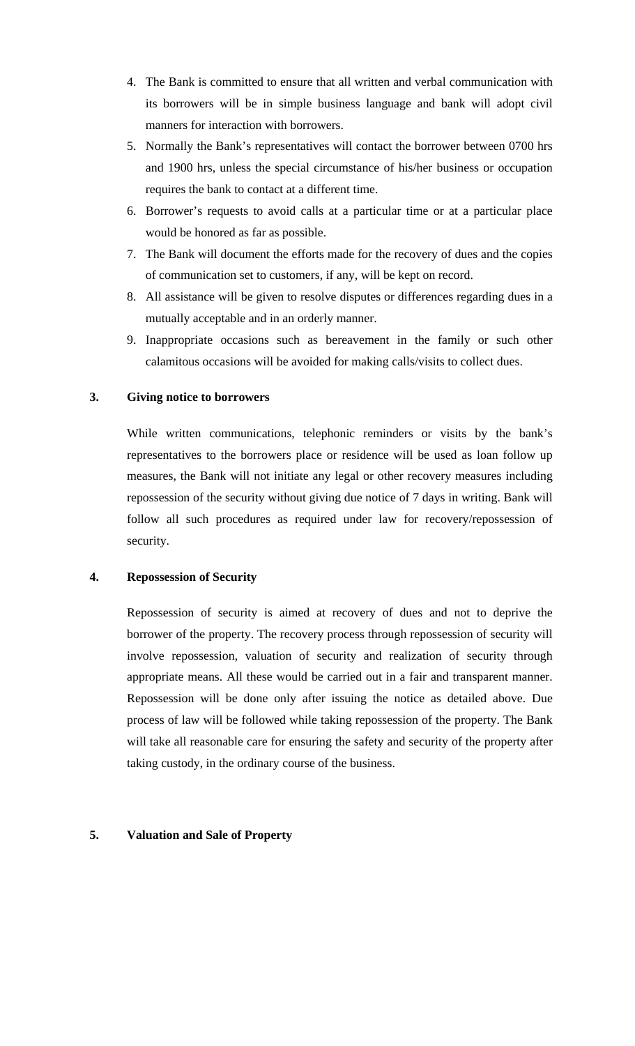- 4. The Bank is committed to ensure that all written and verbal communication with its borrowers will be in simple business language and bank will adopt civil manners for interaction with borrowers.
- 5. Normally the Bank's representatives will contact the borrower between 0700 hrs and 1900 hrs, unless the special circumstance of his/her business or occupation requires the bank to contact at a different time.
- 6. Borrower's requests to avoid calls at a particular time or at a particular place would be honored as far as possible.
- 7. The Bank will document the efforts made for the recovery of dues and the copies of communication set to customers, if any, will be kept on record.
- 8. All assistance will be given to resolve disputes or differences regarding dues in a mutually acceptable and in an orderly manner.
- 9. Inappropriate occasions such as bereavement in the family or such other calamitous occasions will be avoided for making calls/visits to collect dues.

### **3. Giving notice to borrowers**

While written communications, telephonic reminders or visits by the bank's representatives to the borrowers place or residence will be used as loan follow up measures, the Bank will not initiate any legal or other recovery measures including repossession of the security without giving due notice of 7 days in writing. Bank will follow all such procedures as required under law for recovery/repossession of security.

### **4. Repossession of Security**

Repossession of security is aimed at recovery of dues and not to deprive the borrower of the property. The recovery process through repossession of security will involve repossession, valuation of security and realization of security through appropriate means. All these would be carried out in a fair and transparent manner. Repossession will be done only after issuing the notice as detailed above. Due process of law will be followed while taking repossession of the property. The Bank will take all reasonable care for ensuring the safety and security of the property after taking custody, in the ordinary course of the business.

### **5. Valuation and Sale of Property**